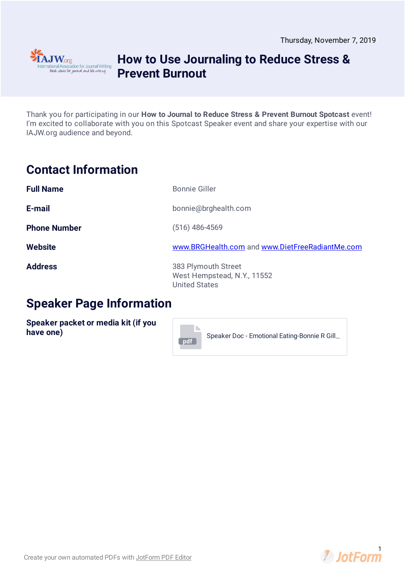

# **How to Use Journaling to Reduce Stress & Prevent Burnout**

Thank you for participating in our **How to Journal to Reduce Stress & Prevent Burnout Spotcast** event! I'm excited to collaborate with you on this Spotcast Speaker event and share your expertise with our IAJW.org audience and beyond.

# **Contact Information**

| <b>Full Name</b>    | <b>Bonnie Giller</b>                                                       |
|---------------------|----------------------------------------------------------------------------|
| E-mail              | bonnie@brghealth.com                                                       |
| <b>Phone Number</b> | $(516)$ 486-4569                                                           |
| <b>Website</b>      | www.BRGHealth.com and www.DietFreeRadiantMe.com                            |
| <b>Address</b>      | 383 Plymouth Street<br>West Hempstead, N.Y., 11552<br><b>United States</b> |

**pdf**

### **Speaker Page Information**

**Speaker packet or media kit (if you have one)**

Speaker Doc - Emotional [Eating-Bonnie](https://www.jotform.com/uploads/IAJW/92676990687278/4489726950521346272/Speaker%20Doc%20-%20Emotional%20Eating-Bonnie%20R%20Giller.pdf) R Gill…

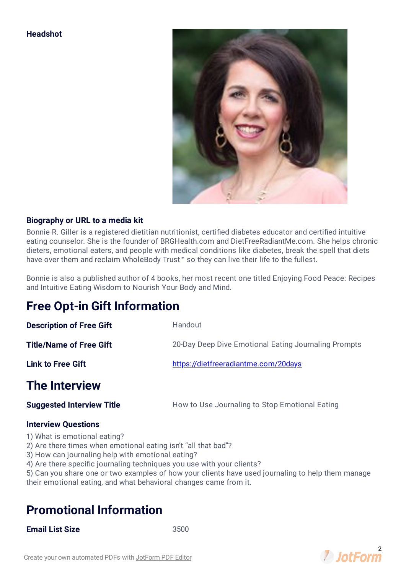### **Headshot**



### **Biography or URL to a media kit**

Bonnie R. Giller is a registered dietitian nutritionist, certified diabetes educator and certified intuitive eating counselor. She is the founder of BRGHealth.com and DietFreeRadiantMe.com. She helps chronic dieters, emotional eaters, and people with medical conditions like diabetes, break the spell that diets have over them and reclaim WholeBody Trust™ so they can live their life to the fullest.

Bonnie is also a published author of 4 books, her most recent one titled Enjoying Food Peace: Recipes and Intuitive Eating Wisdom to Nourish Your Body and Mind.

### **Free Opt-in Gift Information**

| <b>Description of Free Gift</b>  | Handout                                              |
|----------------------------------|------------------------------------------------------|
| <b>Title/Name of Free Gift</b>   | 20-Day Deep Dive Emotional Eating Journaling Prompts |
| <b>Link to Free Gift</b>         | https://dietfreeradiantme.com/20days                 |
| <b>The Interview</b>             |                                                      |
| <b>Suggested Interview Title</b> | How to Use Journaling to Stop Emotional Eating       |

### **Interview Questions**

- 1) What is emotional eating?
- 2) Are there times when emotional eating isn't "all that bad"?
- 3) How can journaling help with emotional eating?
- 4) Are there specific journaling techniques you use with your clients?
- 5) Can you share one or two examples of how your clients have used journaling to help them manage their emotional eating, and what behavioral changes came from it.

### **Promotional Information**

### **Email List Size** 3500

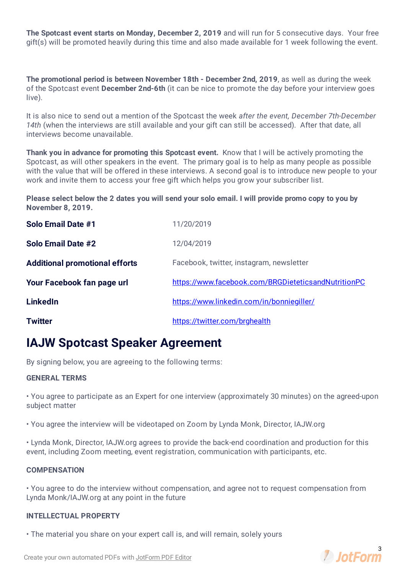**The Spotcast event starts on Monday, December 2, 2019** and will run for 5 consecutive days. Your free gift(s) will be promoted heavily during this time and also made available for 1 week following the event.

**The promotional period is between November 18th - December 2nd, 2019**, as well as during the week of the Spotcast event **December 2nd-6th** (it can be nice to promote the day before your interview goes live).

It is also nice to send out a mention of the Spotcast the week *after the event, December 7th-December* 14th (when the interviews are still available and your gift can still be accessed). After that date, all interviews become unavailable.

**Thank you in advance for promoting this Spotcast event.** Know that I will be actively promoting the Spotcast, as will other speakers in the event. The primary goal is to help as many people as possible with the value that will be offered in these interviews. A second goal is to introduce new people to your work and invite them to access your free gift which helps you grow your subscriber list.

Please select below the 2 dates you will send your solo email. I will provide promo copy to you by **November 8, 2019.**

| Solo Email Date #1                    | 11/20/2019                                          |
|---------------------------------------|-----------------------------------------------------|
| Solo Email Date #2                    | 12/04/2019                                          |
| <b>Additional promotional efforts</b> | Facebook, twitter, instagram, newsletter            |
| Your Facebook fan page url            | https://www.facebook.com/BRGDieteticsandNutritionPC |
| <b>LinkedIn</b>                       | https://www.linkedin.com/in/bonniegiller/           |
| <b>Twitter</b>                        | https://twitter.com/brghealth                       |

# **IAJW Spotcast Speaker Agreement**

By signing below, you are agreeing to the following terms:

### **GENERAL TERMS**

• You agree to participate as an Expert for one interview (approximately 30 minutes) on the agreed-upon subject matter

• You agree the interview will be videotaped on Zoom by Lynda Monk, Director, IAJW.org

• Lynda Monk, Director, IAJW.org agrees to provide the back-end coordination and production for this event, including Zoom meeting, event registration, communication with participants, etc.

#### **COMPENSATION**

• You agree to do the interview without compensation, and agree not to request compensation from Lynda Monk/IAJW.org at any point in the future

### **INTELLECTUAL PROPERTY**

• The material you share on your expert call is, and will remain, solely yours